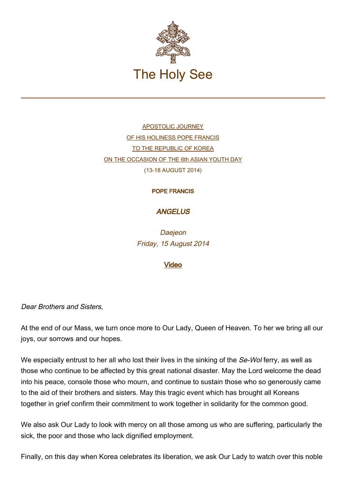

[APOSTOLIC JOURNEY](http://w2.vatican.va/content/francesco/en/travels/2014/outside/documents/papa-francesco-repubblica-corea.html) [OF HIS HOLINESS POPE FRANCIS](http://w2.vatican.va/content/francesco/en/travels/2014/outside/documents/papa-francesco-repubblica-corea.html) [TO THE REPUBLIC OF KOREA](http://w2.vatican.va/content/francesco/en/travels/2014/outside/documents/papa-francesco-repubblica-corea.html) [ON THE OCCASION OF THE 6th ASIAN YOUTH DAY](http://w2.vatican.va/content/francesco/en/travels/2014/outside/documents/papa-francesco-repubblica-corea.html) (13-18 AUGUST 2014)

## POPE FRANCIS

## **ANGELUS**

**Daejeon** Friday, 15 August 2014

## [Video](http://player.rv.va/vaticanplayer.asp?language=it&tic=VA_KALQDSEA)

Dear Brothers and Sisters,

At the end of our Mass, we turn once more to Our Lady, Queen of Heaven. To her we bring all our joys, our sorrows and our hopes.

We especially entrust to her all who lost their lives in the sinking of the Se-Wol ferry, as well as those who continue to be affected by this great national disaster. May the Lord welcome the dead into his peace, console those who mourn, and continue to sustain those who so generously came to the aid of their brothers and sisters. May this tragic event which has brought all Koreans together in grief confirm their commitment to work together in solidarity for the common good.

We also ask Our Lady to look with mercy on all those among us who are suffering, particularly the sick, the poor and those who lack dignified employment.

Finally, on this day when Korea celebrates its liberation, we ask Our Lady to watch over this noble